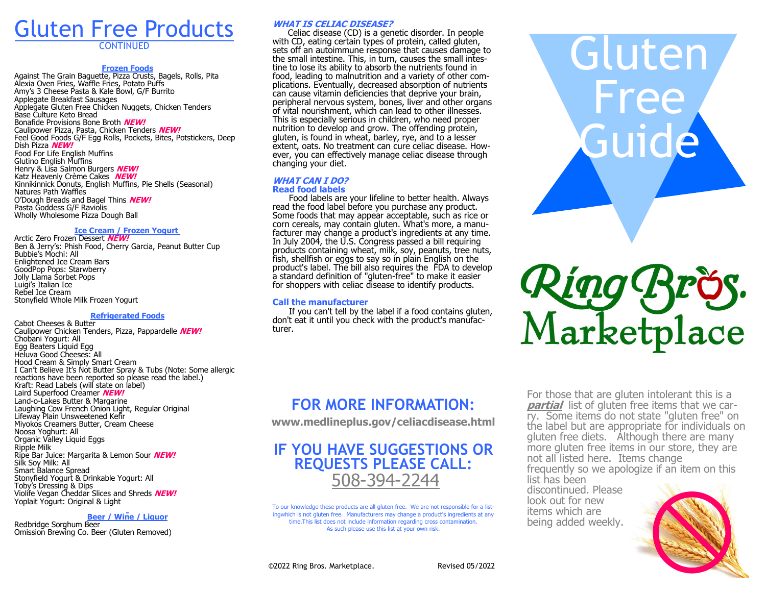# Gluten Free Products

**CONTINUED** 

#### **Frozen Foods**

Against The Grain Baguette, Pizza Crusts, Bagels, Rolls, Pita Alexia Oven Fries, Waffle Fries, Potato Puffs Amy's 3 Cheese Pasta & Kale Bowl, G/F Burrito Applegate Breakfast Sausages Applegate Gluten Free Chicken Nuggets, Chicken Tenders Base Culture Keto Bread Bonafide Provisions Bone Broth **NEW!** Caulipower Pizza, Pasta, Chicken Tenders **NEW!** Feel Good Foods G/F Egg Rolls, Pockets, Bites, Potstickers, Deep Dish Pizza **NEW!** Food For Life English Muffins Glutino English Muffins Henry & Lisa Salmon Burgers **NEW!** Katz Heavenly Crème Cakes **NEW!** Kinnikinnick Donuts, English Muffins, Pie Shells (Seasonal) Natures Path Waffles O'Dough Breads and Bagel Thins **NEW!** Pasta Goddess G/F Raviolis Wholly Wholesome Pizza Dough Ball

#### **Ice Cream / Frozen Yogurt**

Arctic Zero Frozen Dessert **NEW!** Ben & Jerry's: Phish Food, Cherry Garcia, Peanut Butter Cup Bubbie's Mochi: All Enlightened Ice Cream Bars GoodPop Pops: Starwberry Jolly Llama Sorbet Pops Luigi's Italian Ice Rebel Ice Cream Stonyfield Whole Milk Frozen Yogurt

#### **Refrigerated Foods**

Cabot Cheeses & Butter Caulipower Chicken Tenders, Pizza, Pappardelle **NEW!** Chobani Yogurt: All Egg Beaters Liquid Egg Heluva Good Cheeses: All Hood Cream & Simply Smart Cream I Can't Believe It's Not Butter Spray & Tubs (Note: Some allergic reactions have been reported so please read the label.) Kraft: Read Labels (will state on label) Laird Superfood Creamer **NEW!** Land-o-Lakes Butter & Margarine Laughing Cow French Onion Light, Regular Original Lifeway Plain Unsweetened Kefir Miyokos Creamers Butter, Cream Cheese Noosa Yoghurt: All Organic Valley Liquid Eggs Ripple Milk Ripe Bar Juice: Margarita & Lemon Sour **NEW!** Silk Soy Milk: All Smart Balance Spread Stonyfield Yogurt & Drinkable Yogurt: All Toby's Dressing & Dips Violife Vegan Cheddar Slices and Shreds **NEW!** Yoplait Yogurt: Original & Light

#### **Beer / Wine / Liquor**

Redbridge Sorghum Beer Omission Brewing Co. Beer (Gluten Removed)

#### **WHAT IS CELIAC DISEASE?**

Celiac disease (CD) is a genetic disorder. In people with CD, eating certain types of protein, called gluten, sets off an autoimmune response that causes damage to the small intestine. This, in turn, causes the small intestine to lose its ability to absorb the nutrients found in food, leading to malnutrition and a variety of other complications. Eventually, decreased absorption of nutrients can cause vitamin deficiencies that deprive your brain, peripheral nervous system, bones, liver and other organs of vital nourishment, which can lead to other illnesses. This is especially serious in children, who need proper nutrition to develop and grow. The offending protein, gluten, is found in wheat, barley, rye, and to a lesser extent, oats. No treatment can cure celiac disease. However, you can effectively manage celiac disease through changing your diet.

#### **WHAT CAN I DO? Read food labels**

 Food labels are your lifeline to better health. Always read the food label before you purchase any product. Some foods that may appear acceptable, such as rice or corn cereals, may contain gluten. What's more, a manufacturer may change a product's ingredients at any time. In July 2004, the U.S. Congress passed a bill requiring products containing wheat, milk, soy, peanuts, tree nuts, fish, shellfish or eggs to say so in plain English on the product's label. The bill also requires the FDA to develop a standard definition of "gluten-free" to make it easier for shoppers with celiac disease to identify products.

#### **Call the manufacturer**

 If you can't tell by the label if a food contains gluten, don't eat it until you check with the product's manufacturer.

## **FOR MORE INFORMATION:**

**www.medlineplus.gov/celiacdisease.html**

### **IF YOU HAVE SUGGESTIONS OR REQUESTS PLEASE CALL:** 508-394-2244

To our knowledge these products are all gluten free. We are not responsible for a listingwhich is not gluten free. Manufacturers may change a product's ingredients at any time.This list does not include information regarding cross contamination. As such please use this list at your own risk.





For those that are gluten intolerant this is a **partial** list of gluten free items that we carry. Some items do not state "gluten free" on the label but are appropriate for individuals on gluten free diets. Although there are many more gluten free items in our store, they are not all listed here. Items change frequently so we apologize if an item on this list has been

discontinued. Please look out for new items which are being added weekly.